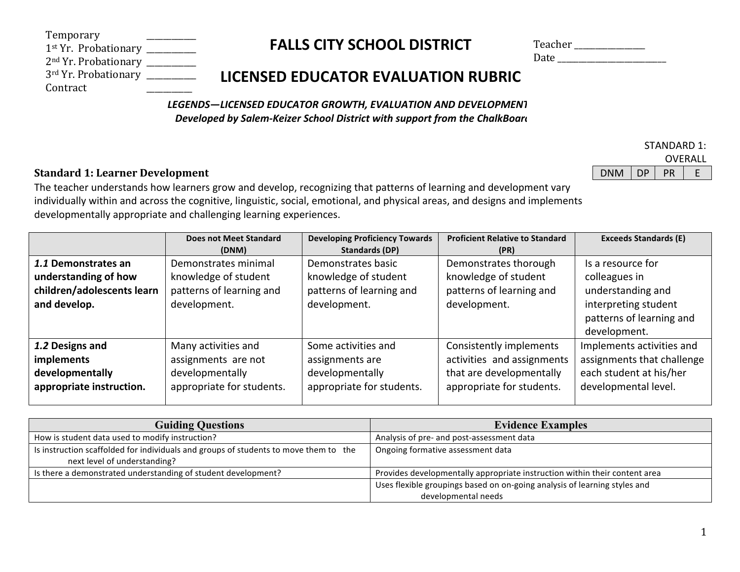| Temporary                                       |  |
|-------------------------------------------------|--|
| 1 <sup>st</sup> Yr. Probationary _              |  |
| $2nd$ Yr. Probationary $\overline{\phantom{a}}$ |  |
| 3rd Yr. Probationary _                          |  |
| Contract                                        |  |

# **FALLS CITY SCHOOL DISTRICT**

| Teacher |  |
|---------|--|
| Date    |  |

STANDARD 1: OVERALL

## **LICENSED EDUCATOR EVALUATION RUBRIC**

LEGENDS-LICENSED EDUCATOR GROWTH, EVALUATION AND DEVELOPMENT *Developed by Salem-Keizer School District with support from the ChalkBoard* 

## **Standard 1: Learner Development** Development Development DNM DP PR E

The teacher understands how learners grow and develop, recognizing that patterns of learning and development vary individually within and across the cognitive, linguistic, social, emotional, and physical areas, and designs and implements developmentally appropriate and challenging learning experiences.

|                            | <b>Does not Meet Standard</b> | <b>Developing Proficiency Towards</b> | <b>Proficient Relative to Standard</b> | <b>Exceeds Standards (E)</b> |
|----------------------------|-------------------------------|---------------------------------------|----------------------------------------|------------------------------|
|                            | (DNM)                         | <b>Standards (DP)</b>                 | (PR)                                   |                              |
| 1.1 Demonstrates an        | Demonstrates minimal          | Demonstrates basic                    | Demonstrates thorough                  | Is a resource for            |
| understanding of how       | knowledge of student          | knowledge of student                  | knowledge of student                   | colleagues in                |
| children/adolescents learn | patterns of learning and      | patterns of learning and              | patterns of learning and               | understanding and            |
| and develop.               | development.                  | development.                          | development.                           | interpreting student         |
|                            |                               |                                       |                                        | patterns of learning and     |
|                            |                               |                                       |                                        | development.                 |
| 1.2 Designs and            | Many activities and           | Some activities and                   | Consistently implements                | Implements activities and    |
| <b>implements</b>          | assignments are not           | assignments are                       | activities and assignments             | assignments that challenge   |
| developmentally            | developmentally               | developmentally                       | that are developmentally               | each student at his/her      |
| appropriate instruction.   | appropriate for students.     | appropriate for students.             | appropriate for students.              | developmental level.         |
|                            |                               |                                       |                                        |                              |

| <b>Guiding Questions</b>                                                                                             | <b>Evidence Examples</b>                                                                         |
|----------------------------------------------------------------------------------------------------------------------|--------------------------------------------------------------------------------------------------|
| How is student data used to modify instruction?                                                                      | Analysis of pre- and post-assessment data                                                        |
| Is instruction scaffolded for individuals and groups of students to move them to the<br>next level of understanding? | Ongoing formative assessment data                                                                |
| Is there a demonstrated understanding of student development?                                                        | Provides developmentally appropriate instruction within their content area                       |
|                                                                                                                      | Uses flexible groupings based on on-going analysis of learning styles and<br>developmental needs |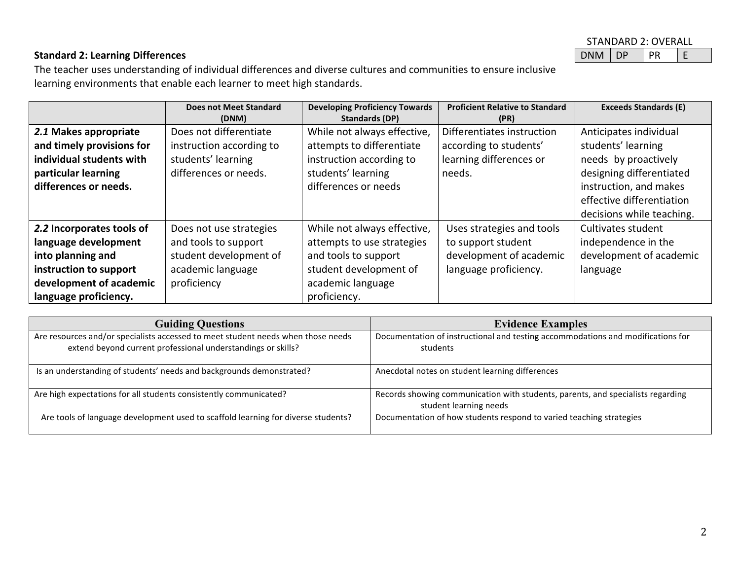| STANDARD 2: OVERALL |  |  |  |  |
|---------------------|--|--|--|--|
| DNM DP              |  |  |  |  |

## **Standard 2: Learning Differences** Demonstration of the extension of the extension of  $\Box$

The teacher uses understanding of individual differences and diverse cultures and communities to ensure inclusive learning environments that enable each learner to meet high standards.

|                                                                                                                                                      | Does not Meet Standard<br>(DNM)                                                                               | <b>Developing Proficiency Towards</b><br>Standards (DP)                                                                                          | <b>Proficient Relative to Standard</b><br>(PR)                                                      | <b>Exceeds Standards (E)</b>                                                                                               |
|------------------------------------------------------------------------------------------------------------------------------------------------------|---------------------------------------------------------------------------------------------------------------|--------------------------------------------------------------------------------------------------------------------------------------------------|-----------------------------------------------------------------------------------------------------|----------------------------------------------------------------------------------------------------------------------------|
| 2.1 Makes appropriate<br>and timely provisions for<br>individual students with<br>particular learning<br>differences or needs.                       | Does not differentiate<br>instruction according to<br>students' learning<br>differences or needs.             | While not always effective,<br>attempts to differentiate<br>instruction according to<br>students' learning<br>differences or needs               | Differentiates instruction<br>according to students'<br>learning differences or<br>needs.           | Anticipates individual<br>students' learning<br>needs by proactively<br>designing differentiated<br>instruction, and makes |
|                                                                                                                                                      |                                                                                                               |                                                                                                                                                  |                                                                                                     | effective differentiation<br>decisions while teaching.                                                                     |
| 2.2 Incorporates tools of<br>language development<br>into planning and<br>instruction to support<br>development of academic<br>language proficiency. | Does not use strategies<br>and tools to support<br>student development of<br>academic language<br>proficiency | While not always effective,<br>attempts to use strategies<br>and tools to support<br>student development of<br>academic language<br>proficiency. | Uses strategies and tools<br>to support student<br>development of academic<br>language proficiency. | Cultivates student<br>independence in the<br>development of academic<br>language                                           |

| <b>Guiding Questions</b>                                                                                                                         | <b>Evidence Examples</b>                                                                                  |
|--------------------------------------------------------------------------------------------------------------------------------------------------|-----------------------------------------------------------------------------------------------------------|
| Are resources and/or specialists accessed to meet student needs when those needs<br>extend beyond current professional understandings or skills? | Documentation of instructional and testing accommodations and modifications for<br>students               |
| Is an understanding of students' needs and backgrounds demonstrated?                                                                             | Anecdotal notes on student learning differences                                                           |
| Are high expectations for all students consistently communicated?                                                                                | Records showing communication with students, parents, and specialists regarding<br>student learning needs |
| Are tools of language development used to scaffold learning for diverse students?                                                                | Documentation of how students respond to varied teaching strategies                                       |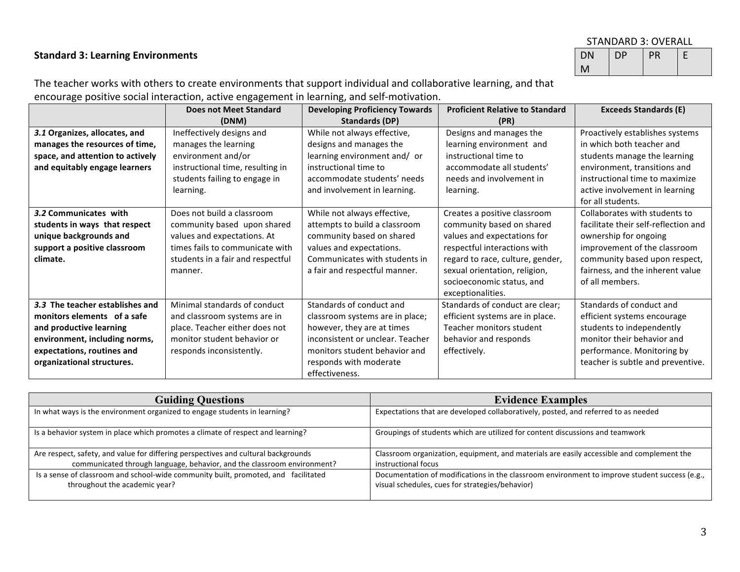### **Standard 3: Learning Environments**

| STANDARD 3: OVERALL   |  |  |  |  |  |
|-----------------------|--|--|--|--|--|
| DP<br><b>PR</b><br>DN |  |  |  |  |  |
| М                     |  |  |  |  |  |

The teacher works with others to create environments that support individual and collaborative learning, and that encourage positive social interaction, active engagement in learning, and self-motivation.

|                                  | <b>Does not Meet Standard</b>     | <b>Developing Proficiency Towards</b> | <b>Proficient Relative to Standard</b> | <b>Exceeds Standards (E)</b>         |
|----------------------------------|-----------------------------------|---------------------------------------|----------------------------------------|--------------------------------------|
|                                  | (DNM)                             | Standards (DP)                        | (PR)                                   |                                      |
| 3.1 Organizes, allocates, and    | Ineffectively designs and         | While not always effective,           | Designs and manages the                | Proactively establishes systems      |
| manages the resources of time,   | manages the learning              | designs and manages the               | learning environment and               | in which both teacher and            |
| space, and attention to actively | environment and/or                | learning environment and/ or          | instructional time to                  | students manage the learning         |
| and equitably engage learners    | instructional time, resulting in  | instructional time to                 | accommodate all students'              | environment, transitions and         |
|                                  | students failing to engage in     | accommodate students' needs           | needs and involvement in               | instructional time to maximize       |
|                                  | learning.                         | and involvement in learning.          | learning.                              | active involvement in learning       |
|                                  |                                   |                                       |                                        | for all students.                    |
| 3.2 Communicates with            | Does not build a classroom        | While not always effective,           | Creates a positive classroom           | Collaborates with students to        |
| students in ways that respect    | community based upon shared       | attempts to build a classroom         | community based on shared              | facilitate their self-reflection and |
| unique backgrounds and           | values and expectations. At       | community based on shared             | values and expectations for            | ownership for ongoing                |
| support a positive classroom     | times fails to communicate with   | values and expectations.              | respectful interactions with           | improvement of the classroom         |
| climate.                         | students in a fair and respectful | Communicates with students in         | regard to race, culture, gender,       | community based upon respect,        |
|                                  | manner.                           | a fair and respectful manner.         | sexual orientation, religion,          | fairness, and the inherent value     |
|                                  |                                   |                                       | socioeconomic status, and              | of all members.                      |
|                                  |                                   |                                       | exceptionalities.                      |                                      |
| 3.3 The teacher establishes and  | Minimal standards of conduct      | Standards of conduct and              | Standards of conduct are clear;        | Standards of conduct and             |
| monitors elements of a safe      | and classroom systems are in      | classroom systems are in place;       | efficient systems are in place.        | efficient systems encourage          |
| and productive learning          | place. Teacher either does not    | however, they are at times            | Teacher monitors student               | students to independently            |
| environment, including norms,    | monitor student behavior or       | inconsistent or unclear. Teacher      | behavior and responds                  | monitor their behavior and           |
| expectations, routines and       | responds inconsistently.          | monitors student behavior and         | effectively.                           | performance. Monitoring by           |
| organizational structures.       |                                   | responds with moderate                |                                        | teacher is subtle and preventive.    |
|                                  |                                   | effectiveness.                        |                                        |                                      |

| <b>Guiding Questions</b>                                                           | <b>Evidence Examples</b>                                                                      |
|------------------------------------------------------------------------------------|-----------------------------------------------------------------------------------------------|
| In what ways is the environment organized to engage students in learning?          | Expectations that are developed collaboratively, posted, and referred to as needed            |
| Is a behavior system in place which promotes a climate of respect and learning?    | Groupings of students which are utilized for content discussions and teamwork                 |
| Are respect, safety, and value for differing perspectives and cultural backgrounds | Classroom organization, equipment, and materials are easily accessible and complement the     |
| communicated through language, behavior, and the classroom environment?            | instructional focus                                                                           |
| Is a sense of classroom and school-wide community built, promoted, and facilitated | Documentation of modifications in the classroom environment to improve student success (e.g., |
| throughout the academic year?                                                      | visual schedules, cues for strategies/behavior)                                               |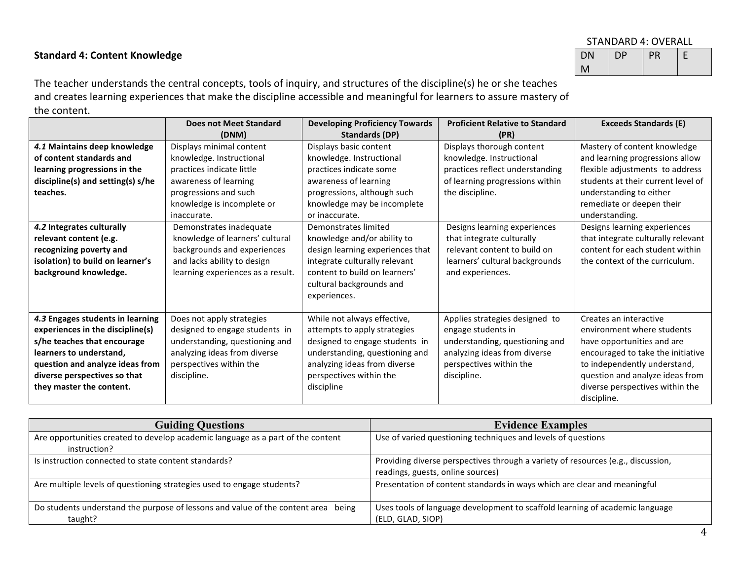## **Standard 4: Content Knowledge**

| STANDARD 4: OVERALL   |  |  |  |  |  |
|-----------------------|--|--|--|--|--|
| DP<br>PR<br><b>DN</b> |  |  |  |  |  |
|                       |  |  |  |  |  |

The teacher understands the central concepts, tools of inquiry, and structures of the discipline(s) he or she teaches and creates learning experiences that make the discipline accessible and meaningful for learners to assure mastery of the content.

|                                   | <b>Does not Meet Standard</b>     | <b>Developing Proficiency Towards</b> | <b>Proficient Relative to Standard</b> | <b>Exceeds Standards (E)</b>       |
|-----------------------------------|-----------------------------------|---------------------------------------|----------------------------------------|------------------------------------|
|                                   | (DNM)                             | Standards (DP)                        | (PR)                                   |                                    |
| 4.1 Maintains deep knowledge      | Displays minimal content          | Displays basic content                | Displays thorough content              | Mastery of content knowledge       |
| of content standards and          | knowledge. Instructional          | knowledge. Instructional              | knowledge. Instructional               | and learning progressions allow    |
| learning progressions in the      | practices indicate little         | practices indicate some               | practices reflect understanding        | flexible adjustments to address    |
| discipline(s) and setting(s) s/he | awareness of learning             | awareness of learning                 | of learning progressions within        | students at their current level of |
| teaches.                          | progressions and such             | progressions, although such           | the discipline.                        | understanding to either            |
|                                   | knowledge is incomplete or        | knowledge may be incomplete           |                                        | remediate or deepen their          |
|                                   | inaccurate.                       | or inaccurate.                        |                                        | understanding.                     |
| 4.2 Integrates culturally         | Demonstrates inadequate           | Demonstrates limited                  | Designs learning experiences           | Designs learning experiences       |
| relevant content (e.g.            | knowledge of learners' cultural   | knowledge and/or ability to           | that integrate culturally              | that integrate culturally relevant |
| recognizing poverty and           | backgrounds and experiences       | design learning experiences that      | relevant content to build on           | content for each student within    |
| isolation) to build on learner's  | and lacks ability to design       | integrate culturally relevant         | learners' cultural backgrounds         | the context of the curriculum.     |
| background knowledge.             | learning experiences as a result. | content to build on learners'         | and experiences.                       |                                    |
|                                   |                                   | cultural backgrounds and              |                                        |                                    |
|                                   |                                   | experiences.                          |                                        |                                    |
|                                   |                                   |                                       |                                        |                                    |
| 4.3 Engages students in learning  | Does not apply strategies         | While not always effective,           | Applies strategies designed to         | Creates an interactive             |
| experiences in the discipline(s)  | designed to engage students in    | attempts to apply strategies          | engage students in                     | environment where students         |
| s/he teaches that encourage       | understanding, questioning and    | designed to engage students in        | understanding, questioning and         | have opportunities and are         |
| learners to understand,           | analyzing ideas from diverse      | understanding, questioning and        | analyzing ideas from diverse           | encouraged to take the initiative  |
| question and analyze ideas from   | perspectives within the           | analyzing ideas from diverse          | perspectives within the                | to independently understand,       |
| diverse perspectives so that      | discipline.                       | perspectives within the               | discipline.                            | question and analyze ideas from    |
| they master the content.          |                                   | discipline                            |                                        | diverse perspectives within the    |
|                                   |                                   |                                       |                                        | discipline.                        |

| <b>Guiding Questions</b>                                                          | <b>Evidence Examples</b>                                                         |
|-----------------------------------------------------------------------------------|----------------------------------------------------------------------------------|
| Are opportunities created to develop academic language as a part of the content   | Use of varied questioning techniques and levels of questions                     |
| instruction?                                                                      |                                                                                  |
| Is instruction connected to state content standards?                              | Providing diverse perspectives through a variety of resources (e.g., discussion, |
|                                                                                   | readings, guests, online sources)                                                |
| Are multiple levels of questioning strategies used to engage students?            | Presentation of content standards in ways which are clear and meaningful         |
|                                                                                   |                                                                                  |
| Do students understand the purpose of lessons and value of the content area being | Uses tools of language development to scaffold learning of academic language     |
| taught?                                                                           | (ELD, GLAD, SIOP)                                                                |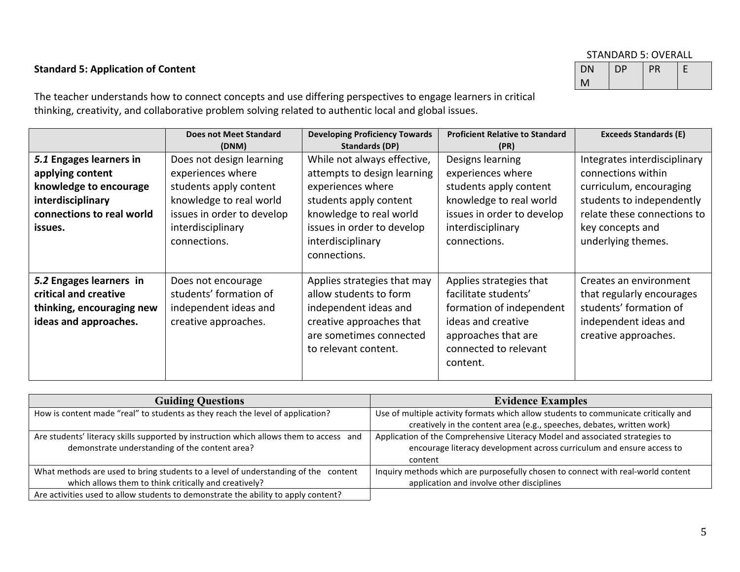## **Standard 5: Application of Content** DN

## STANDARD 5: OVERALL

M DP PR E

The teacher understands how to connect concepts and use differing perspectives to engage learners in critical thinking, creativity, and collaborative problem solving related to authentic local and global issues.

|                                                                                                                                    | <b>Does not Meet Standard</b><br>(DNM)                                                                                                                                | <b>Developing Proficiency Towards</b><br>Standards (DP)                                                                                                                                                 | <b>Proficient Relative to Standard</b><br>(PR)                                                                                                                | <b>Exceeds Standards (E)</b>                                                                                                                                                        |
|------------------------------------------------------------------------------------------------------------------------------------|-----------------------------------------------------------------------------------------------------------------------------------------------------------------------|---------------------------------------------------------------------------------------------------------------------------------------------------------------------------------------------------------|---------------------------------------------------------------------------------------------------------------------------------------------------------------|-------------------------------------------------------------------------------------------------------------------------------------------------------------------------------------|
| 5.1 Engages learners in<br>applying content<br>knowledge to encourage<br>interdisciplinary<br>connections to real world<br>issues. | Does not design learning<br>experiences where<br>students apply content<br>knowledge to real world<br>issues in order to develop<br>interdisciplinary<br>connections. | While not always effective,<br>attempts to design learning<br>experiences where<br>students apply content<br>knowledge to real world<br>issues in order to develop<br>interdisciplinary<br>connections. | Designs learning<br>experiences where<br>students apply content<br>knowledge to real world<br>issues in order to develop<br>interdisciplinary<br>connections. | Integrates interdisciplinary<br>connections within<br>curriculum, encouraging<br>students to independently<br>relate these connections to<br>key concepts and<br>underlying themes. |
| 5.2 Engages learners in<br>critical and creative<br>thinking, encouraging new<br>ideas and approaches.                             | Does not encourage<br>students' formation of<br>independent ideas and<br>creative approaches.                                                                         | Applies strategies that may<br>allow students to form<br>independent ideas and<br>creative approaches that<br>are sometimes connected<br>to relevant content.                                           | Applies strategies that<br>facilitate students'<br>formation of independent<br>ideas and creative<br>approaches that are<br>connected to relevant<br>content. | Creates an environment<br>that regularly encourages<br>students' formation of<br>independent ideas and<br>creative approaches.                                                      |

| <b>Guiding Questions</b>                                                               | <b>Evidence Examples</b>                                                            |
|----------------------------------------------------------------------------------------|-------------------------------------------------------------------------------------|
| How is content made "real" to students as they reach the level of application?         | Use of multiple activity formats which allow students to communicate critically and |
|                                                                                        | creatively in the content area (e.g., speeches, debates, written work)              |
| Are students' literacy skills supported by instruction which allows them to access and | Application of the Comprehensive Literacy Model and associated strategies to        |
| demonstrate understanding of the content area?                                         | encourage literacy development across curriculum and ensure access to               |
|                                                                                        | content                                                                             |
| What methods are used to bring students to a level of understanding of the<br>content  | Inquiry methods which are purposefully chosen to connect with real-world content    |
| which allows them to think critically and creatively?                                  | application and involve other disciplines                                           |
| Are activities used to allow students to demonstrate the ability to apply content?     |                                                                                     |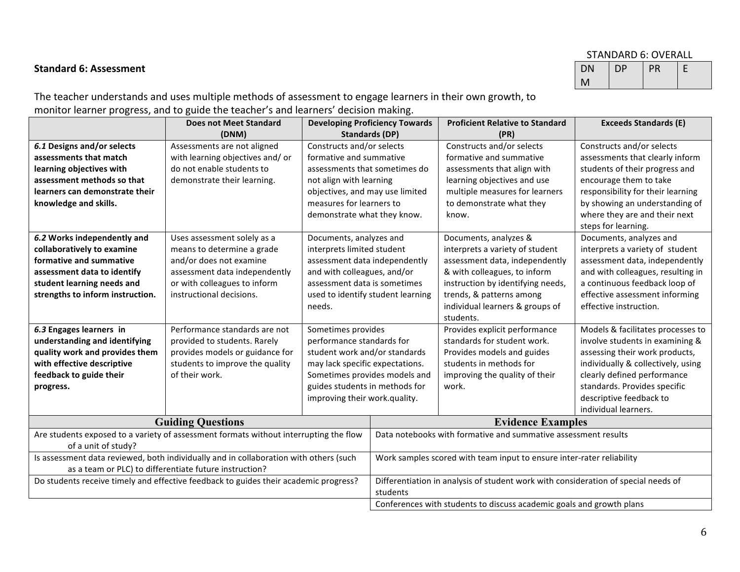#### STANDARD 6: OVERALL

## M  $DP$   $PR$   $E$

**Standard 6: Assessment** DN

The teacher understands and uses multiple methods of assessment to engage learners in their own growth, to monitor learner progress, and to guide the teacher's and learners' decision making.

|                                  | <b>Does not Meet Standard</b>                                                         |                                 | <b>Developing Proficiency Towards</b>                                              | <b>Proficient Relative to Standard</b>                               | <b>Exceeds Standards (E)</b>       |
|----------------------------------|---------------------------------------------------------------------------------------|---------------------------------|------------------------------------------------------------------------------------|----------------------------------------------------------------------|------------------------------------|
|                                  | (DNM)                                                                                 |                                 | Standards (DP)                                                                     | (PR)                                                                 |                                    |
| 6.1 Designs and/or selects       | Assessments are not aligned                                                           | Constructs and/or selects       |                                                                                    | Constructs and/or selects                                            | Constructs and/or selects          |
| assessments that match           | with learning objectives and/or                                                       | formative and summative         |                                                                                    | formative and summative                                              | assessments that clearly inform    |
| learning objectives with         | do not enable students to                                                             | assessments that sometimes do   |                                                                                    | assessments that align with                                          | students of their progress and     |
| assessment methods so that       | demonstrate their learning.                                                           | not align with learning         |                                                                                    | learning objectives and use                                          | encourage them to take             |
| learners can demonstrate their   |                                                                                       | objectives, and may use limited |                                                                                    | multiple measures for learners                                       | responsibility for their learning  |
| knowledge and skills.            |                                                                                       | measures for learners to        |                                                                                    | to demonstrate what they                                             | by showing an understanding of     |
|                                  |                                                                                       | demonstrate what they know.     |                                                                                    | know.                                                                | where they are and their next      |
|                                  |                                                                                       |                                 |                                                                                    |                                                                      | steps for learning.                |
| 6.2 Works independently and      | Uses assessment solely as a                                                           | Documents, analyzes and         |                                                                                    | Documents, analyzes &                                                | Documents, analyzes and            |
| collaboratively to examine       | means to determine a grade                                                            | interprets limited student      |                                                                                    | interprets a variety of student                                      | interprets a variety of student    |
| formative and summative          | and/or does not examine                                                               | assessment data independently   |                                                                                    | assessment data, independently                                       | assessment data, independently     |
| assessment data to identify      | assessment data independently                                                         | and with colleagues, and/or     |                                                                                    | & with colleagues, to inform                                         | and with colleagues, resulting in  |
| student learning needs and       | or with colleagues to inform                                                          | assessment data is sometimes    |                                                                                    | instruction by identifying needs,                                    | a continuous feedback loop of      |
| strengths to inform instruction. | instructional decisions.                                                              |                                 | used to identify student learning                                                  | trends, & patterns among                                             | effective assessment informing     |
|                                  |                                                                                       | needs.                          |                                                                                    | individual learners & groups of                                      | effective instruction.             |
|                                  |                                                                                       |                                 |                                                                                    | students.                                                            |                                    |
| 6.3 Engages learners in          | Performance standards are not                                                         | Sometimes provides              |                                                                                    | Provides explicit performance                                        | Models & facilitates processes to  |
| understanding and identifying    | provided to students. Rarely                                                          | performance standards for       |                                                                                    | standards for student work.                                          | involve students in examining &    |
| quality work and provides them   | provides models or guidance for                                                       | student work and/or standards   |                                                                                    | Provides models and guides                                           | assessing their work products,     |
| with effective descriptive       | students to improve the quality                                                       | may lack specific expectations. |                                                                                    | students in methods for                                              | individually & collectively, using |
| feedback to guide their          | of their work.                                                                        |                                 | Sometimes provides models and                                                      | improving the quality of their                                       | clearly defined performance        |
| progress.                        |                                                                                       | guides students in methods for  |                                                                                    | work.                                                                | standards. Provides specific       |
|                                  |                                                                                       | improving their work.quality.   |                                                                                    |                                                                      | descriptive feedback to            |
|                                  |                                                                                       |                                 |                                                                                    |                                                                      | individual learners.               |
|                                  | <b>Guiding Questions</b>                                                              |                                 | <b>Evidence Examples</b>                                                           |                                                                      |                                    |
|                                  | Are students exposed to a variety of assessment formats without interrupting the flow |                                 | Data notebooks with formative and summative assessment results                     |                                                                      |                                    |
| of a unit of study?              |                                                                                       |                                 |                                                                                    |                                                                      |                                    |
|                                  | Is assessment data reviewed, both individually and in collaboration with others (such |                                 | Work samples scored with team input to ensure inter-rater reliability              |                                                                      |                                    |
|                                  | as a team or PLC) to differentiate future instruction?                                |                                 |                                                                                    |                                                                      |                                    |
|                                  | Do students receive timely and effective feedback to guides their academic progress?  |                                 | Differentiation in analysis of student work with consideration of special needs of |                                                                      |                                    |
|                                  |                                                                                       |                                 | students                                                                           |                                                                      |                                    |
|                                  |                                                                                       |                                 |                                                                                    | Conferences with students to discuss academic goals and growth plans |                                    |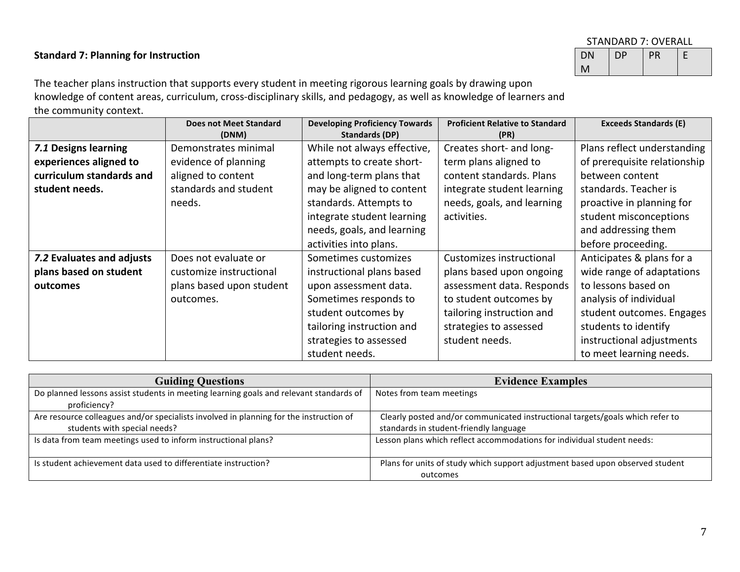## **Standard 7: Planning for Instruction**

| STANDARD 7: OVERALL |    |    |  |
|---------------------|----|----|--|
| DΝ                  | DP | PR |  |
| М                   |    |    |  |

The teacher plans instruction that supports every student in meeting rigorous learning goals by drawing upon knowledge of content areas, curriculum, cross-disciplinary skills, and pedagogy, as well as knowledge of learners and the community context.

|                           | <b>Does not Meet Standard</b><br>(DNM) | <b>Developing Proficiency Towards</b><br><b>Standards (DP)</b> | <b>Proficient Relative to Standard</b><br>(PR) | <b>Exceeds Standards (E)</b> |
|---------------------------|----------------------------------------|----------------------------------------------------------------|------------------------------------------------|------------------------------|
| 7.1 Designs learning      | Demonstrates minimal                   | While not always effective,                                    | Creates short- and long-                       | Plans reflect understanding  |
|                           |                                        |                                                                |                                                |                              |
| experiences aligned to    | evidence of planning                   | attempts to create short-                                      | term plans aligned to                          | of prerequisite relationship |
| curriculum standards and  | aligned to content                     | and long-term plans that                                       | content standards. Plans                       | between content              |
| student needs.            | standards and student                  | may be aligned to content                                      | integrate student learning                     | standards. Teacher is        |
|                           | needs.                                 | standards. Attempts to                                         | needs, goals, and learning                     | proactive in planning for    |
|                           |                                        | integrate student learning                                     | activities.                                    | student misconceptions       |
|                           |                                        | needs, goals, and learning                                     |                                                | and addressing them          |
|                           |                                        | activities into plans.                                         |                                                | before proceeding.           |
| 7.2 Evaluates and adjusts | Does not evaluate or                   | Sometimes customizes                                           | Customizes instructional                       | Anticipates & plans for a    |
| plans based on student    | customize instructional                | instructional plans based                                      | plans based upon ongoing                       | wide range of adaptations    |
| outcomes                  | plans based upon student               | upon assessment data.                                          | assessment data. Responds                      | to lessons based on          |
|                           | outcomes.                              | Sometimes responds to                                          | to student outcomes by                         | analysis of individual       |
|                           |                                        | student outcomes by                                            | tailoring instruction and                      | student outcomes. Engages    |
|                           |                                        | tailoring instruction and                                      | strategies to assessed                         | students to identify         |
|                           |                                        | strategies to assessed                                         | student needs.                                 | instructional adjustments    |
|                           |                                        | student needs.                                                 |                                                | to meet learning needs.      |

| <b>Guiding Questions</b>                                                               | <b>Evidence Examples</b>                                                                  |
|----------------------------------------------------------------------------------------|-------------------------------------------------------------------------------------------|
| Do planned lessons assist students in meeting learning goals and relevant standards of | Notes from team meetings                                                                  |
| proficiency?                                                                           |                                                                                           |
| Are resource colleagues and/or specialists involved in planning for the instruction of | Clearly posted and/or communicated instructional targets/goals which refer to             |
| students with special needs?                                                           | standards in student-friendly language                                                    |
| Is data from team meetings used to inform instructional plans?                         | Lesson plans which reflect accommodations for individual student needs:                   |
| Is student achievement data used to differentiate instruction?                         | Plans for units of study which support adjustment based upon observed student<br>outcomes |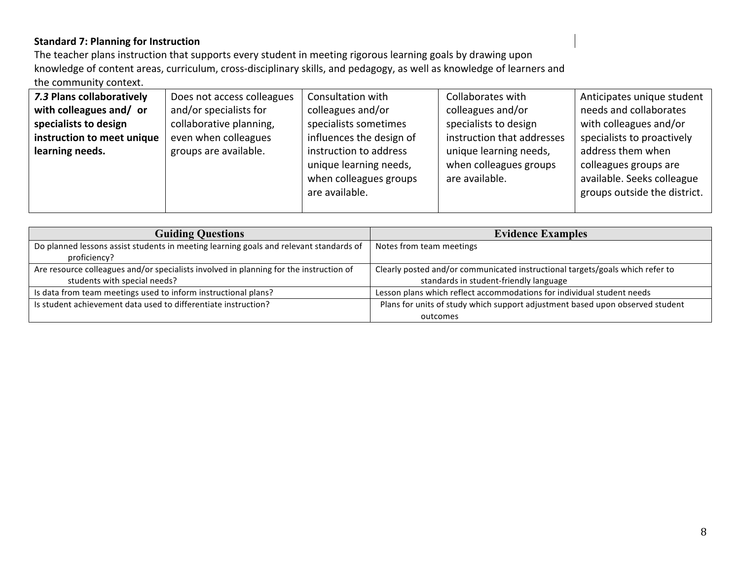## **Standard 7: Planning for Instruction**

The teacher plans instruction that supports every student in meeting rigorous learning goals by drawing upon knowledge of content areas, curriculum, cross-disciplinary skills, and pedagogy, as well as knowledge of learners and the community context.

| 7.3 Plans collaboratively  | Does not access colleagues | Consultation with        | Collaborates with          | Anticipates unique student   |
|----------------------------|----------------------------|--------------------------|----------------------------|------------------------------|
| with colleagues and/ or    | and/or specialists for     | colleagues and/or        | colleagues and/or          | needs and collaborates       |
| specialists to design      | collaborative planning,    | specialists sometimes    | specialists to design      | with colleagues and/or       |
| instruction to meet unique | even when colleagues       | influences the design of | instruction that addresses | specialists to proactively   |
| learning needs.            | groups are available.      | instruction to address   | unique learning needs,     | address them when            |
|                            |                            | unique learning needs,   | when colleagues groups     | colleagues groups are        |
|                            |                            | when colleagues groups   | are available.             | available. Seeks colleague   |
|                            |                            | are available.           |                            | groups outside the district. |
|                            |                            |                          |                            |                              |

| <b>Guiding Questions</b>                                                               | <b>Evidence Examples</b>                                                      |
|----------------------------------------------------------------------------------------|-------------------------------------------------------------------------------|
| Do planned lessons assist students in meeting learning goals and relevant standards of | Notes from team meetings                                                      |
| proficiency?                                                                           |                                                                               |
| Are resource colleagues and/or specialists involved in planning for the instruction of | Clearly posted and/or communicated instructional targets/goals which refer to |
| students with special needs?                                                           | standards in student-friendly language                                        |
| Is data from team meetings used to inform instructional plans?                         | Lesson plans which reflect accommodations for individual student needs        |
| Is student achievement data used to differentiate instruction?                         | Plans for units of study which support adjustment based upon observed student |
|                                                                                        | outcomes                                                                      |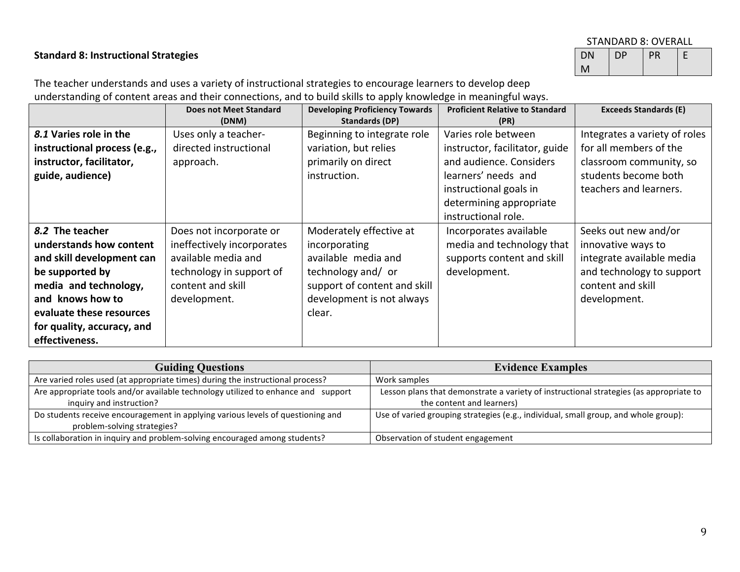### **Standard 8: Instructional Strategies**

| STANDARD 8: OVERALL |    |    |  |
|---------------------|----|----|--|
| DN                  | DP | PR |  |
|                     |    |    |  |

The teacher understands and uses a variety of instructional strategies to encourage learners to develop deep understanding of content areas and their connections, and to build skills to apply knowledge in meaningful ways.

|                              | <b>Does not Meet Standard</b><br>(DNM) | <b>Developing Proficiency Towards</b><br>Standards (DP) | <b>Proficient Relative to Standard</b><br>(PR) | <b>Exceeds Standards (E)</b>  |
|------------------------------|----------------------------------------|---------------------------------------------------------|------------------------------------------------|-------------------------------|
| 8.1 Varies role in the       | Uses only a teacher-                   | Beginning to integrate role                             | Varies role between                            | Integrates a variety of roles |
| instructional process (e.g., | directed instructional                 | variation, but relies                                   | instructor, facilitator, guide                 | for all members of the        |
| instructor, facilitator,     | approach.                              | primarily on direct                                     | and audience. Considers                        | classroom community, so       |
| guide, audience)             |                                        | instruction.                                            | learners' needs and                            | students become both          |
|                              |                                        |                                                         | instructional goals in                         | teachers and learners.        |
|                              |                                        |                                                         | determining appropriate                        |                               |
|                              |                                        |                                                         | instructional role.                            |                               |
| 8.2 The teacher              | Does not incorporate or                | Moderately effective at                                 | Incorporates available                         | Seeks out new and/or          |
| understands how content      | ineffectively incorporates             | incorporating                                           | media and technology that                      | innovative ways to            |
| and skill development can    | available media and                    | available media and                                     | supports content and skill                     | integrate available media     |
| be supported by              | technology in support of               | technology and/ or                                      | development.                                   | and technology to support     |
| media and technology,        | content and skill                      | support of content and skill                            |                                                | content and skill             |
| and knows how to             | development.                           | development is not always                               |                                                | development.                  |
| evaluate these resources     |                                        | clear.                                                  |                                                |                               |
| for quality, accuracy, and   |                                        |                                                         |                                                |                               |
| effectiveness.               |                                        |                                                         |                                                |                               |

| <b>Guiding Questions</b>                                                          | <b>Evidence Examples</b>                                                               |
|-----------------------------------------------------------------------------------|----------------------------------------------------------------------------------------|
| Are varied roles used (at appropriate times) during the instructional process?    | Work samples                                                                           |
| Are appropriate tools and/or available technology utilized to enhance and support | Lesson plans that demonstrate a variety of instructional strategies (as appropriate to |
| inquiry and instruction?                                                          | the content and learners)                                                              |
| Do students receive encouragement in applying various levels of questioning and   | Use of varied grouping strategies (e.g., individual, small group, and whole group):    |
| problem-solving strategies?                                                       |                                                                                        |
| Is collaboration in inquiry and problem-solving encouraged among students?        | Observation of student engagement                                                      |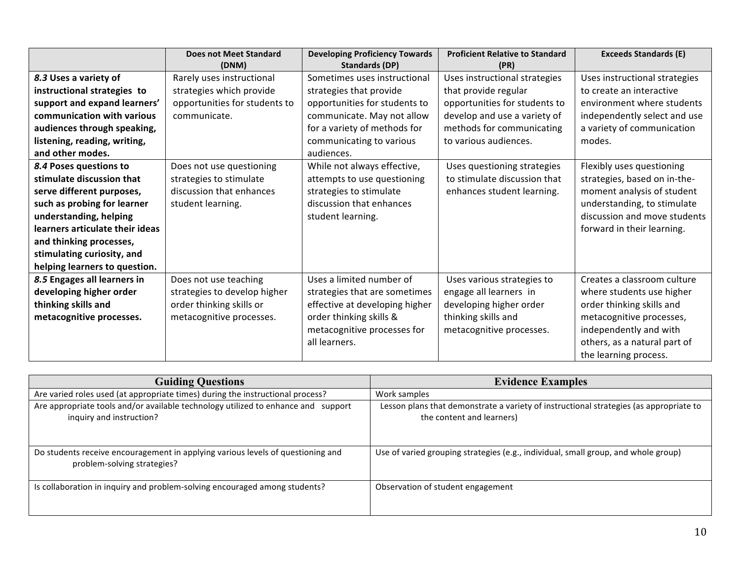|                                 | <b>Does not Meet Standard</b> | <b>Developing Proficiency Towards</b> | <b>Proficient Relative to Standard</b> | <b>Exceeds Standards (E)</b>  |
|---------------------------------|-------------------------------|---------------------------------------|----------------------------------------|-------------------------------|
|                                 | (DNM)                         | <b>Standards (DP)</b>                 | (PR)                                   |                               |
| 8.3 Uses a variety of           | Rarely uses instructional     | Sometimes uses instructional          | Uses instructional strategies          | Uses instructional strategies |
| instructional strategies to     | strategies which provide      | strategies that provide               | that provide regular                   | to create an interactive      |
| support and expand learners'    | opportunities for students to | opportunities for students to         | opportunities for students to          | environment where students    |
| communication with various      | communicate.                  | communicate. May not allow            | develop and use a variety of           | independently select and use  |
| audiences through speaking,     |                               | for a variety of methods for          | methods for communicating              | a variety of communication    |
| listening, reading, writing,    |                               | communicating to various              | to various audiences.                  | modes.                        |
| and other modes.                |                               | audiences.                            |                                        |                               |
| 8.4 Poses questions to          | Does not use questioning      | While not always effective,           | Uses questioning strategies            | Flexibly uses questioning     |
| stimulate discussion that       | strategies to stimulate       | attempts to use questioning           | to stimulate discussion that           | strategies, based on in-the-  |
| serve different purposes,       | discussion that enhances      | strategies to stimulate               | enhances student learning.             | moment analysis of student    |
| such as probing for learner     | student learning.             | discussion that enhances              |                                        | understanding, to stimulate   |
| understanding, helping          |                               | student learning.                     |                                        | discussion and move students  |
| learners articulate their ideas |                               |                                       |                                        | forward in their learning.    |
| and thinking processes,         |                               |                                       |                                        |                               |
| stimulating curiosity, and      |                               |                                       |                                        |                               |
| helping learners to question.   |                               |                                       |                                        |                               |
| 8.5 Engages all learners in     | Does not use teaching         | Uses a limited number of              | Uses various strategies to             | Creates a classroom culture   |
| developing higher order         | strategies to develop higher  | strategies that are sometimes         | engage all learners in                 | where students use higher     |
| thinking skills and             | order thinking skills or      | effective at developing higher        | developing higher order                | order thinking skills and     |
| metacognitive processes.        | metacognitive processes.      | order thinking skills &               | thinking skills and                    | metacognitive processes,      |
|                                 |                               | metacognitive processes for           | metacognitive processes.               | independently and with        |
|                                 |                               | all learners.                         |                                        | others, as a natural part of  |
|                                 |                               |                                       |                                        | the learning process.         |

| <b>Guiding Questions</b>                                                                                       | <b>Evidence Examples</b>                                                                                            |
|----------------------------------------------------------------------------------------------------------------|---------------------------------------------------------------------------------------------------------------------|
| Are varied roles used (at appropriate times) during the instructional process?                                 | Work samples                                                                                                        |
| Are appropriate tools and/or available technology utilized to enhance and support<br>inquiry and instruction?  | Lesson plans that demonstrate a variety of instructional strategies (as appropriate to<br>the content and learners) |
| Do students receive encouragement in applying various levels of questioning and<br>problem-solving strategies? | Use of varied grouping strategies (e.g., individual, small group, and whole group)                                  |
| Is collaboration in inquiry and problem-solving encouraged among students?                                     | Observation of student engagement                                                                                   |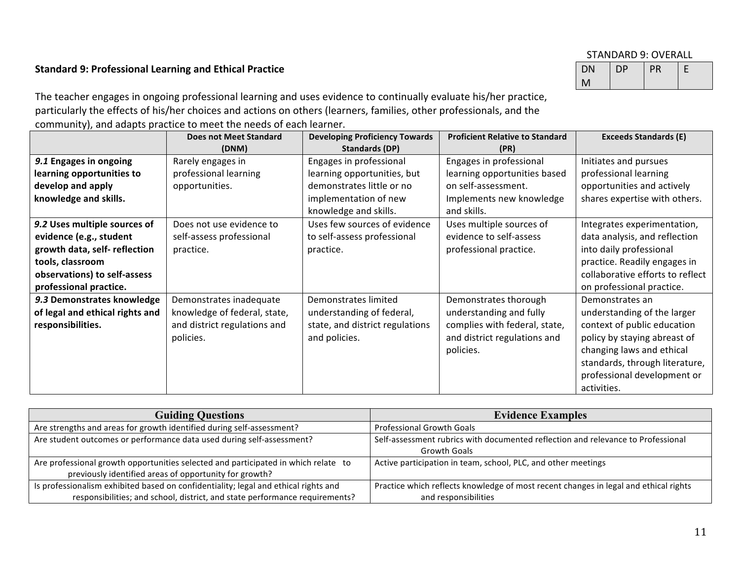#### STANDARD 9: OVERALL

#### **Standard 9: Professional Learning and Ethical Practice**

| .         | .         |    |  |
|-----------|-----------|----|--|
| <b>DN</b> | <b>DP</b> | PR |  |
|           |           |    |  |

The teacher engages in ongoing professional learning and uses evidence to continually evaluate his/her practice, particularly the effects of his/her choices and actions on others (learners, families, other professionals, and the community), and adapts practice to meet the needs of each learner.

|                                 | <b>Does not Meet Standard</b><br>(DNM) | <b>Developing Proficiency Towards</b><br>Standards (DP) | <b>Proficient Relative to Standard</b><br>(PR) | <b>Exceeds Standards (E)</b>     |
|---------------------------------|----------------------------------------|---------------------------------------------------------|------------------------------------------------|----------------------------------|
| 9.1 Engages in ongoing          | Rarely engages in                      | Engages in professional                                 | Engages in professional                        | Initiates and pursues            |
| learning opportunities to       | professional learning                  | learning opportunities, but                             | learning opportunities based                   | professional learning            |
| develop and apply               | opportunities.                         | demonstrates little or no                               | on self-assessment.                            | opportunities and actively       |
| knowledge and skills.           |                                        | implementation of new                                   | Implements new knowledge                       | shares expertise with others.    |
|                                 |                                        | knowledge and skills.                                   | and skills.                                    |                                  |
| 9.2 Uses multiple sources of    | Does not use evidence to               | Uses few sources of evidence                            | Uses multiple sources of                       | Integrates experimentation,      |
| evidence (e.g., student         | self-assess professional               | to self-assess professional                             | evidence to self-assess                        | data analysis, and reflection    |
| growth data, self- reflection   | practice.                              | practice.                                               | professional practice.                         | into daily professional          |
| tools, classroom                |                                        |                                                         |                                                | practice. Readily engages in     |
| observations) to self-assess    |                                        |                                                         |                                                | collaborative efforts to reflect |
| professional practice.          |                                        |                                                         |                                                | on professional practice.        |
| 9.3 Demonstrates knowledge      | Demonstrates inadequate                | Demonstrates limited                                    | Demonstrates thorough                          | Demonstrates an                  |
| of legal and ethical rights and | knowledge of federal, state,           | understanding of federal,                               | understanding and fully                        | understanding of the larger      |
| responsibilities.               | and district regulations and           | state, and district regulations                         | complies with federal, state,                  | context of public education      |
|                                 | policies.                              | and policies.                                           | and district regulations and                   | policy by staying abreast of     |
|                                 |                                        |                                                         | policies.                                      | changing laws and ethical        |
|                                 |                                        |                                                         |                                                | standards, through literature,   |
|                                 |                                        |                                                         |                                                | professional development or      |
|                                 |                                        |                                                         |                                                | activities.                      |

| <b>Guiding Questions</b>                                                            | <b>Evidence Examples</b>                                                             |
|-------------------------------------------------------------------------------------|--------------------------------------------------------------------------------------|
| Are strengths and areas for growth identified during self-assessment?               | <b>Professional Growth Goals</b>                                                     |
| Are student outcomes or performance data used during self-assessment?               | Self-assessment rubrics with documented reflection and relevance to Professional     |
|                                                                                     | <b>Growth Goals</b>                                                                  |
| Are professional growth opportunities selected and participated in which relate to  | Active participation in team, school, PLC, and other meetings                        |
| previously identified areas of opportunity for growth?                              |                                                                                      |
| Is professionalism exhibited based on confidentiality; legal and ethical rights and | Practice which reflects knowledge of most recent changes in legal and ethical rights |
| responsibilities; and school, district, and state performance requirements?         | and responsibilities                                                                 |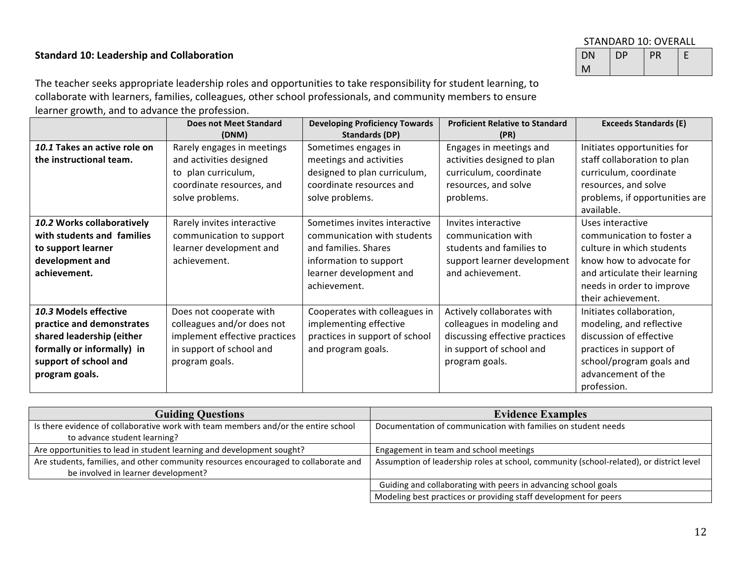## **Standard 10: Leadership and Collaboration**

| STANDARD 10: OVERALL |    |    |   |
|----------------------|----|----|---|
| DN                   | DP | PR | F |
| М                    |    |    |   |

The teacher seeks appropriate leadership roles and opportunities to take responsibility for student learning, to collaborate with learners, families, colleagues, other school professionals, and community members to ensure learner growth, and to advance the profession.

|                                                                                                                                                          | <b>Does not Meet Standard</b><br>(DNM)                                                                                               | <b>Developing Proficiency Towards</b><br>Standards (DP)                                                                                                   | <b>Proficient Relative to Standard</b><br>(PR)                                                                                           | <b>Exceeds Standards (E)</b>                                                                                                                                                               |
|----------------------------------------------------------------------------------------------------------------------------------------------------------|--------------------------------------------------------------------------------------------------------------------------------------|-----------------------------------------------------------------------------------------------------------------------------------------------------------|------------------------------------------------------------------------------------------------------------------------------------------|--------------------------------------------------------------------------------------------------------------------------------------------------------------------------------------------|
| 10.1 Takes an active role on<br>the instructional team.                                                                                                  | Rarely engages in meetings<br>and activities designed<br>to plan curriculum,<br>coordinate resources, and<br>solve problems.         | Sometimes engages in<br>meetings and activities<br>designed to plan curriculum,<br>coordinate resources and<br>solve problems.                            | Engages in meetings and<br>activities designed to plan<br>curriculum, coordinate<br>resources, and solve<br>problems.                    | Initiates opportunities for<br>staff collaboration to plan<br>curriculum, coordinate<br>resources, and solve<br>problems, if opportunities are<br>available.                               |
| 10.2 Works collaboratively<br>with students and families<br>to support learner<br>development and<br>achievement.                                        | Rarely invites interactive<br>communication to support<br>learner development and<br>achievement.                                    | Sometimes invites interactive<br>communication with students<br>and families. Shares<br>information to support<br>learner development and<br>achievement. | Invites interactive<br>communication with<br>students and families to<br>support learner development<br>and achievement.                 | Uses interactive<br>communication to foster a<br>culture in which students<br>know how to advocate for<br>and articulate their learning<br>needs in order to improve<br>their achievement. |
| 10.3 Models effective<br>practice and demonstrates<br>shared leadership (either<br>formally or informally) in<br>support of school and<br>program goals. | Does not cooperate with<br>colleagues and/or does not<br>implement effective practices<br>in support of school and<br>program goals. | Cooperates with colleagues in<br>implementing effective<br>practices in support of school<br>and program goals.                                           | Actively collaborates with<br>colleagues in modeling and<br>discussing effective practices<br>in support of school and<br>program goals. | Initiates collaboration,<br>modeling, and reflective<br>discussion of effective<br>practices in support of<br>school/program goals and<br>advancement of the<br>profession.                |

| <b>Guiding Questions</b>                                                            | <b>Evidence Examples</b>                                                                |  |
|-------------------------------------------------------------------------------------|-----------------------------------------------------------------------------------------|--|
| Is there evidence of collaborative work with team members and/or the entire school  | Documentation of communication with families on student needs                           |  |
| to advance student learning?                                                        |                                                                                         |  |
| Are opportunities to lead in student learning and development sought?               | Engagement in team and school meetings                                                  |  |
| Are students, families, and other community resources encouraged to collaborate and | Assumption of leadership roles at school, community (school-related), or district level |  |
| be involved in learner development?                                                 |                                                                                         |  |
|                                                                                     | Guiding and collaborating with peers in advancing school goals                          |  |
|                                                                                     | Modeling best practices or providing staff development for peers                        |  |